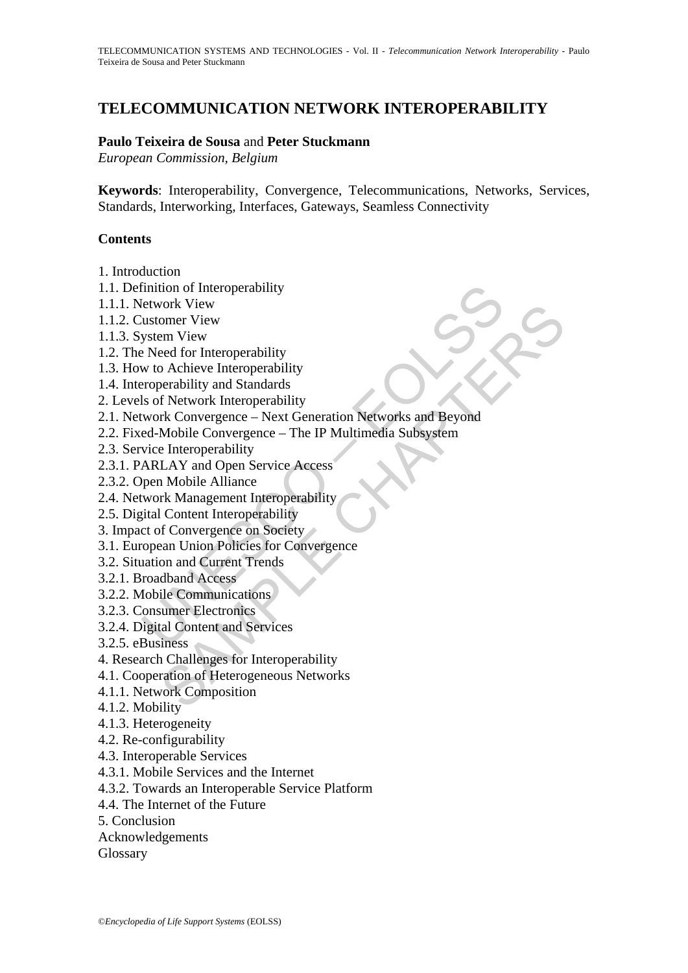# **TELECOMMUNICATION NETWORK INTEROPERABILITY**

#### **Paulo Teixeira de Sousa** and **Peter Stuckmann**

*European Commission, Belgium* 

**Keywords**: Interoperability, Convergence, Telecommunications, Networks, Services, Standards, Interworking, Interfaces, Gateways, Seamless Connectivity

#### **Contents**

- 1. Introduction
- 1.1. Definition of Interoperability
- 1.1.1. Network View
- 1.1.2. Customer View
- 1.1.3. System View
- 1.2. The Need for Interoperability
- 1.3. How to Achieve Interoperability
- 1.4. Interoperability and Standards
- 2. Levels of Network Interoperability
- Finition of Interoperability<br>
letwork View<br>
ustomer View<br>
ustomer View<br>
system View<br>
Peed for Interoperability<br>
w to Achieve Interoperability<br>
w to Achieve Interoperability<br>
w to Achieve Interoperability<br>
reperadion Networ vork Vew<br>m View<br>mm View<br>mm View<br>mm View<br>eed for Interoperability<br>and Standards<br>f Network Interoperability<br>fr Konvergence – Next Generation Networks and Beyond<br>Mobile Convergence – The IP Multimedia Subsystem<br>Interoperabili 2.1. Network Convergence – Next Generation Networks and Beyond
- 2.2. Fixed-Mobile Convergence The IP Multimedia Subsystem
- 2.3. Service Interoperability
- 2.3.1. PARLAY and Open Service Access
- 2.3.2. Open Mobile Alliance
- 2.4. Network Management Interoperability
- 2.5. Digital Content Interoperability
- 3. Impact of Convergence on Society
- 3.1. European Union Policies for Convergence
- 3.2. Situation and Current Trends
- 3.2.1. Broadband Access
- 3.2.2. Mobile Communications
- 3.2.3. Consumer Electronics
- 3.2.4. Digital Content and Services
- 3.2.5. eBusiness
- 4. Research Challenges for Interoperability
- 4.1. Cooperation of Heterogeneous Networks
- 4.1.1. Network Composition
- 4.1.2. Mobility
- 4.1.3. Heterogeneity
- 4.2. Re-configurability
- 4.3. Interoperable Services
- 4.3.1. Mobile Services and the Internet
- 4.3.2. Towards an Interoperable Service Platform
- 4.4. The Internet of the Future
- 5. Conclusion
- Acknowledgements
- Glossary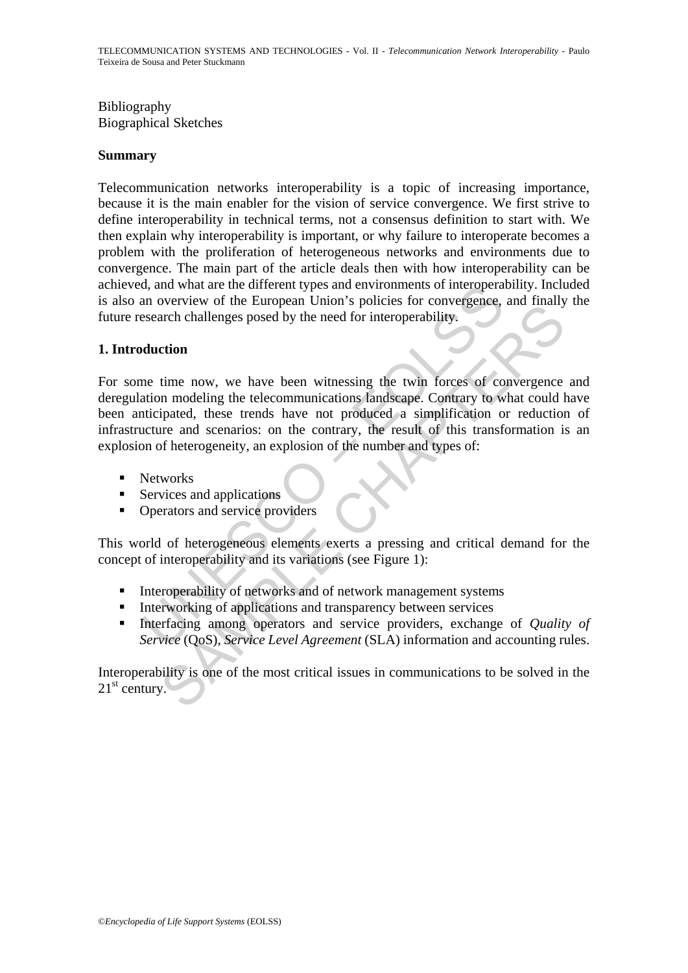## Bibliography Biographical Sketches

#### **Summary**

Telecommunication networks interoperability is a topic of increasing importance, because it is the main enabler for the vision of service convergence. We first strive to define interoperability in technical terms, not a consensus definition to start with. We then explain why interoperability is important, or why failure to interoperate becomes a problem with the proliferation of heterogeneous networks and environments due to convergence. The main part of the article deals then with how interoperability can be achieved, and what are the different types and environments of interoperability. Included is also an overview of the European Union's policies for convergence, and finally the future research challenges posed by the need for interoperability.

#### **1. Introduction**

d, and what are the different types and environments of interopera<br>an overview of the European Union's policies for convergence,<br>seach challenges posed by the need for interoperability,<br>**duction**<br>me time now, we have been Solution of the Languari climates in the mediatry and many<br>that challenges posed by the need for interoperability.<br> **Compare the comparison of the mediatry of the mediatry of the mediatry of the control of the<br>terms on mod** For some time now, we have been witnessing the twin forces of convergence and deregulation modeling the telecommunications landscape. Contrary to what could have been anticipated, these trends have not produced a simplification or reduction of infrastructure and scenarios: on the contrary, the result of this transformation is an explosion of heterogeneity, an explosion of the number and types of:

- **Networks**
- $\blacksquare$  Services and applications
- Operators and service providers

This world of heterogeneous elements exerts a pressing and critical demand for the concept of interoperability and its variations (see Figure 1):

- **I** Interoperability of networks and of network management systems
- **Interworking of applications and transparency between services**
- Interfacing among operators and service providers, exchange of *Quality of Service* (OoS), *Service Level Agreement* (SLA) information and accounting rules.

Interoperability is one of the most critical issues in communications to be solved in the  $21<sup>st</sup>$  century.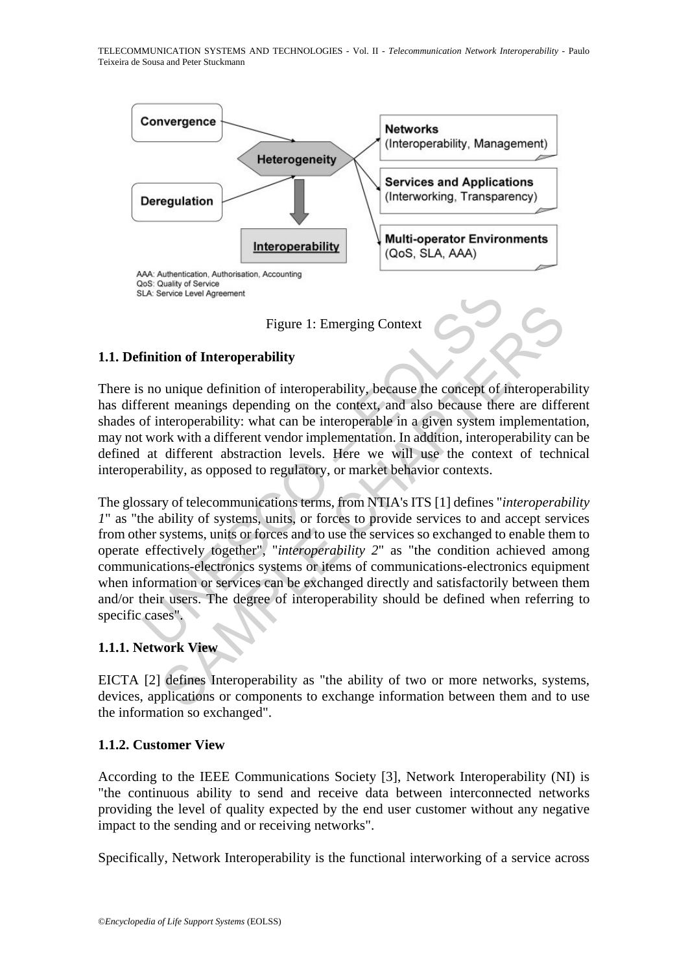



## **1.1. Definition of Interoperability**

There is no unique definition of interoperability, because the concept of interoperability has different meanings depending on the context, and also because there are different shades of interoperability: what can be interoperable in a given system implementation, may not work with a different vendor implementation. In addition, interoperability can be defined at different abstraction levels. Here we will use the context of technical interoperability, as opposed to regulatory, or market behavior contexts.

So Cuanty of service<br>
Thilion of Interoperability<br>
Trigure 1: Emerging Context<br>
Timition of Interoperability<br>
is no unique definition of interoperability, because the concept of identifierent<br>
meanings depending on the con Figure 1: Emerging Context<br>
tion of Interoperability<br>
unique definition of interoperability, because the concept of interoperabi<br>
nut meanings depending on the context, and also because there are different<br>
nutroperability The glossary of telecommunications terms, from NTIA's ITS [1] defines "*interoperability 1*" as "the ability of systems, units, or forces to provide services to and accept services from other systems, units or forces and to use the services so exchanged to enable them to operate effectively together", "*interoperability 2*" as "the condition achieved among communications-electronics systems or items of communications-electronics equipment when information or services can be exchanged directly and satisfactorily between them and/or their users. The degree of interoperability should be defined when referring to specific cases".

### **1.1.1. Network View**

EICTA [2] defines Interoperability as "the ability of two or more networks, systems, devices, applications or components to exchange information between them and to use the information so exchanged".

### **1.1.2. Customer View**

According to the IEEE Communications Society [3], Network Interoperability (NI) is "the continuous ability to send and receive data between interconnected networks providing the level of quality expected by the end user customer without any negative impact to the sending and or receiving networks".

Specifically, Network Interoperability is the functional interworking of a service across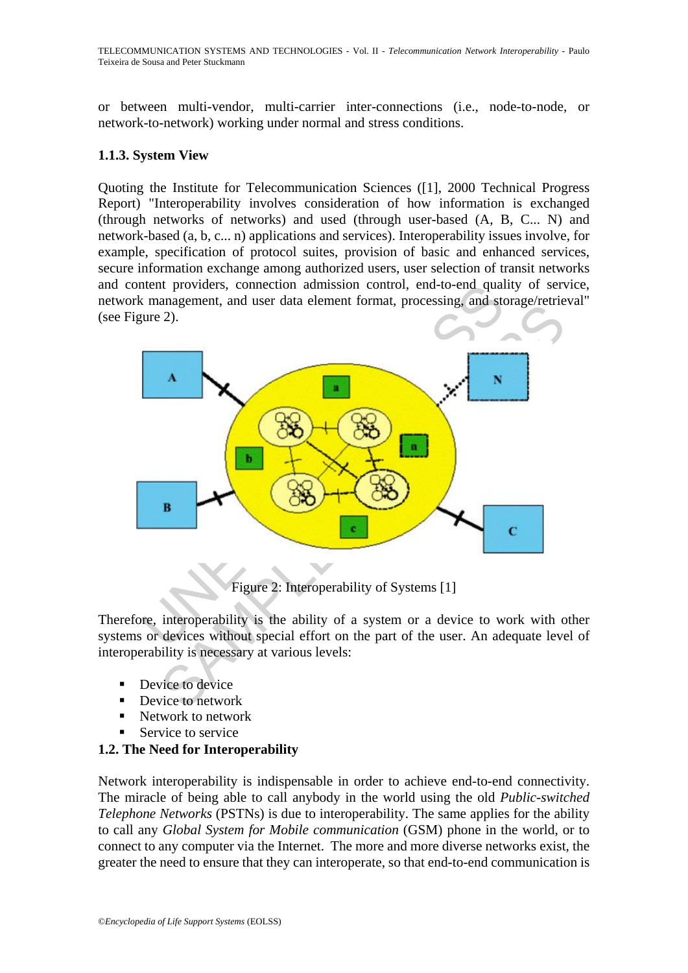TELECOMMUNICATION SYSTEMS AND TECHNOLOGIES - Vol. II - *Telecommunication Network Interoperability* - Paulo Teixeira de Sousa and Peter Stuckmann

or between multi-vendor, multi-carrier inter-connections (i.e., node-to-node, or network-to-network) working under normal and stress conditions.

#### **1.1.3. System View**

Quoting the Institute for Telecommunication Sciences ([1], 2000 Technical Progress Report) "Interoperability involves consideration of how information is exchanged (through networks of networks) and used (through user-based (A, B, C... N) and network-based (a, b, c... n) applications and services). Interoperability issues involve, for example, specification of protocol suites, provision of basic and enhanced services, secure information exchange among authorized users, user selection of transit networks and content providers, connection admission control, end-to-end quality of service, network management, and user data element format, processing, and storage/retrieval" (see Figure 2).



Figure 2: Interoperability of Systems [1]

Therefore, interoperability is the ability of a system or a device to work with other systems or devices without special effort on the part of the user. An adequate level of interoperability is necessary at various levels:

- **Device to device**
- Device to network
- Network to network
- Service to service

## **1.2. The Need for Interoperability**

Network interoperability is indispensable in order to achieve end-to-end connectivity. The miracle of being able to call anybody in the world using the old *Public-switched Telephone Networks* (PSTNs) is due to interoperability. The same applies for the ability to call any *Global System for Mobile communication* (GSM) phone in the world, or to connect to any computer via the Internet. The more and more diverse networks exist, the greater the need to ensure that they can interoperate, so that end-to-end communication is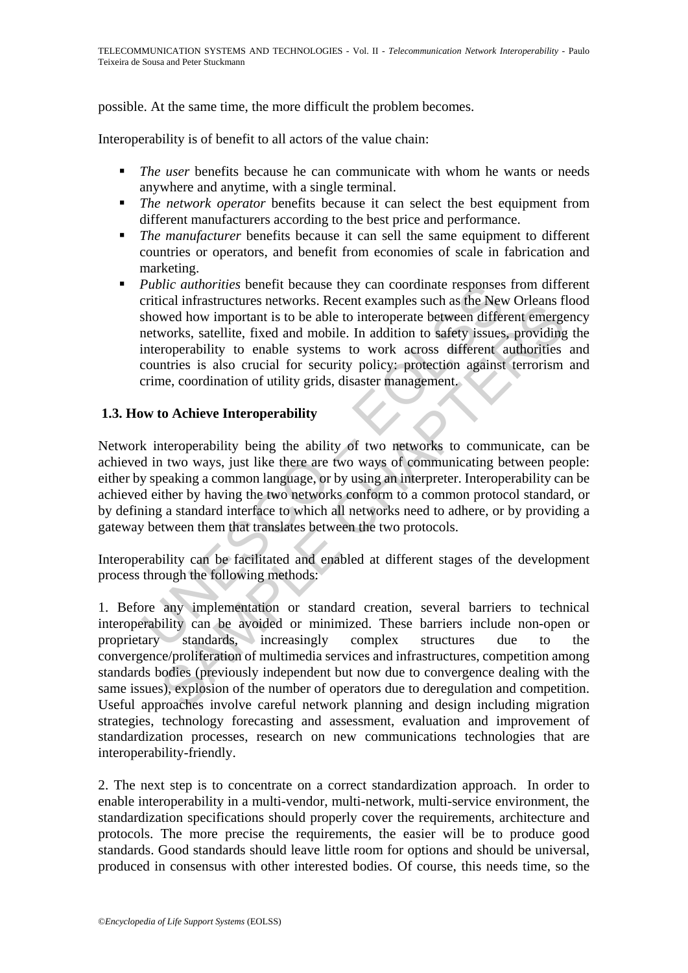possible. At the same time, the more difficult the problem becomes.

Interoperability is of benefit to all actors of the value chain:

- **The user benefits because he can communicate with whom he wants or needs** anywhere and anytime, with a single terminal.
- *The network operator* benefits because it can select the best equipment from different manufacturers according to the best price and performance.
- *The manufacturer* benefits because it can sell the same equipment to different countries or operators, and benefit from economies of scale in fabrication and marketing.
- Public authorities benefit because they can coordinate responses<br>critical infrastructures networks. Recent examples such as the New<br>showed how important is to be able to interoperate between different<br>vorks, satellite, fix *Public authorities* benefit because they can coordinate responses from different critical infrastructures networks. Recent examples such as the New Orleans flood showed how important is to be able to interoperate between different emergency networks, satellite, fixed and mobile. In addition to safety issues, providing the interoperability to enable systems to work across different authorities and countries is also crucial for security policy: protection against terrorism and crime, coordination of utility grids, disaster management.

### **1.3. How to Achieve Interoperability**

Network interoperability being the ability of two networks to communicate, can be achieved in two ways, just like there are two ways of communicating between people: either by speaking a common language, or by using an interpreter. Interoperability can be achieved either by having the two networks conform to a common protocol standard, or by defining a standard interface to which all networks need to adhere, or by providing a gateway between them that translates between the two protocols.

Interoperability can be facilitated and enabled at different stages of the development process through the following methods:

Examples are increased to absolute the context and the samples and a set in the context<br>wed how important is to be able to interoperate between different emergences,<br>staellite, fixed and mobile. In addition to safety issue 1. Before any implementation or standard creation, several barriers to technical interoperability can be avoided or minimized. These barriers include non-open or proprietary standards, increasingly complex structures due to the convergence/proliferation of multimedia services and infrastructures, competition among standards bodies (previously independent but now due to convergence dealing with the same issues), explosion of the number of operators due to deregulation and competition. Useful approaches involve careful network planning and design including migration strategies, technology forecasting and assessment, evaluation and improvement of standardization processes, research on new communications technologies that are interoperability-friendly.

2. The next step is to concentrate on a correct standardization approach. In order to enable interoperability in a multi-vendor, multi-network, multi-service environment, the standardization specifications should properly cover the requirements, architecture and protocols. The more precise the requirements, the easier will be to produce good standards. Good standards should leave little room for options and should be universal, produced in consensus with other interested bodies. Of course, this needs time, so the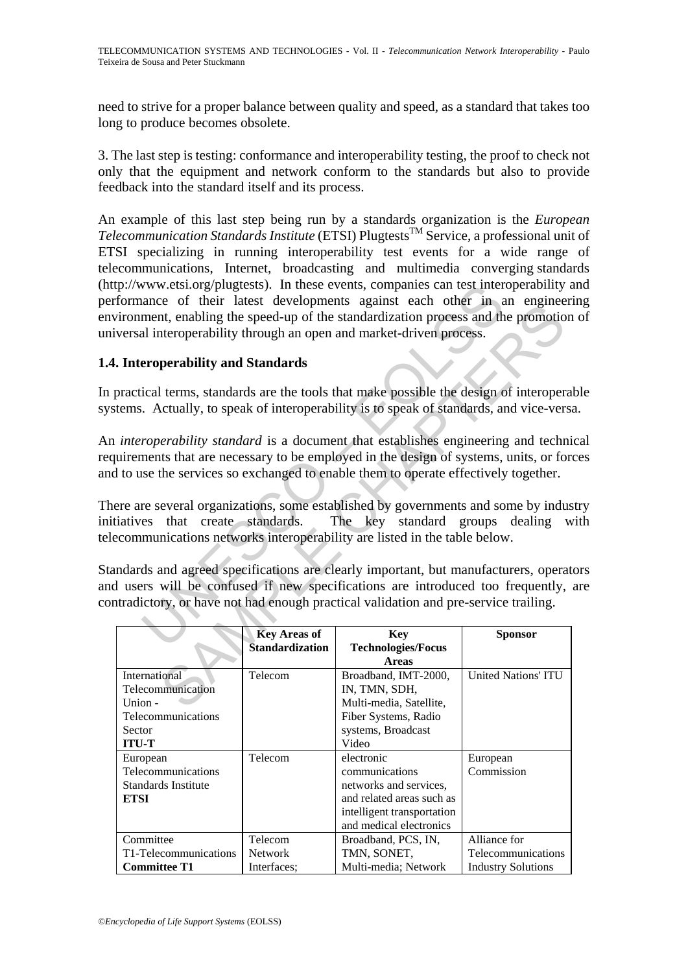need to strive for a proper balance between quality and speed, as a standard that takes too long to produce becomes obsolete.

3. The last step is testing: conformance and interoperability testing, the proof to check not only that the equipment and network conform to the standards but also to provide feedback into the standard itself and its process.

We are of their latest developments against each their and<br>ance of their latest developments against each other in a<br>ment, enolling the speed-up of the standardization process and the<br>ment, enolling the speed-up of the sta An example of this last step being run by a standards organization is the *European Telecommunication Standards Institute* (ETSI) PlugtestsTM Service, a professional unit of ETSI specializing in running interoperability test events for a wide range of telecommunications, Internet, broadcasting and multimedia converging standards (http://www.etsi.org/plugtests). In these events, companies can test interoperability and performance of their latest developments against each other in an engineering environment, enabling the speed-up of the standardization process and the promotion of universal interoperability through an open and market-driven process.

## **1.4. Interoperability and Standards**

In practical terms, standards are the tools that make possible the design of interoperable systems. Actually, to speak of interoperability is to speak of standards, and vice-versa.

An *interoperability standard* is a document that establishes engineering and technical requirements that are necessary to be employed in the design of systems, units, or forces and to use the services so exchanged to enable them to operate effectively together.

There are several organizations, some established by governments and some by industry initiatives that create standards. The key standard groups dealing with telecommunications networks interoperability are listed in the table below.

Standards and agreed specifications are clearly important, but manufacturers, operators and users will be confused if new specifications are introduced too frequently, are contradictory, or have not had enough practical validation and pre-service trailing.

| formance of their facest developments against each other in an engineer                                                                                                                                                                                                                                                                                                                                    |                                               | ironment, enabling the speed-up of the standardization process and the promotion<br>versal interoperability through an open and market-driven process.                                                                                                                |                                                                 |  |  |
|------------------------------------------------------------------------------------------------------------------------------------------------------------------------------------------------------------------------------------------------------------------------------------------------------------------------------------------------------------------------------------------------------------|-----------------------------------------------|-----------------------------------------------------------------------------------------------------------------------------------------------------------------------------------------------------------------------------------------------------------------------|-----------------------------------------------------------------|--|--|
| . Interoperability and Standards                                                                                                                                                                                                                                                                                                                                                                           |                                               |                                                                                                                                                                                                                                                                       |                                                                 |  |  |
|                                                                                                                                                                                                                                                                                                                                                                                                            |                                               | practical terms, standards are the tools that make possible the design of interoperal<br>tems. Actually, to speak of interoperability is to speak of standards, and vice-versa                                                                                        |                                                                 |  |  |
|                                                                                                                                                                                                                                                                                                                                                                                                            |                                               | <i>interoperability standard</i> is a document that establishes engineering and techni-<br>uirements that are necessary to be employed in the design of systems, units, or fore<br>I to use the services so exchanged to enable them to operate effectively together. |                                                                 |  |  |
| ere are several organizations, some established by governments and some by indus<br>iatives that create standards.<br>The key standard groups dealing w<br>ecommunications networks interoperability are listed in the table below.<br>ndards and agreed specifications are clearly important, but manufacturers, operate<br>I users will be confused if new specifications are introduced too frequently, |                                               |                                                                                                                                                                                                                                                                       |                                                                 |  |  |
|                                                                                                                                                                                                                                                                                                                                                                                                            |                                               | tradictory, or have not had enough practical validation and pre-service trailing.                                                                                                                                                                                     |                                                                 |  |  |
|                                                                                                                                                                                                                                                                                                                                                                                                            | <b>Key Areas of</b><br><b>Standardization</b> | <b>Key</b><br><b>Technologies/Focus</b><br><b>Areas</b>                                                                                                                                                                                                               | <b>Sponsor</b>                                                  |  |  |
| International<br>Telecommunication<br>Union -<br>Telecommunications<br>Sector<br><b>ITU-T</b>                                                                                                                                                                                                                                                                                                              | Telecom                                       | Broadband, IMT-2000,<br>IN, TMN, SDH,<br>Multi-media, Satellite,<br>Fiber Systems, Radio<br>systems, Broadcast<br>Video                                                                                                                                               | <b>United Nations' ITU</b>                                      |  |  |
| European<br>Telecommunications<br>Standards Institute<br><b>ETSI</b>                                                                                                                                                                                                                                                                                                                                       | Telecom                                       | electronic<br>communications<br>networks and services,<br>and related areas such as<br>intelligent transportation<br>and medical electronics                                                                                                                          | European<br>Commission                                          |  |  |
| Committee<br>T1-Telecommunications<br><b>Committee T1</b>                                                                                                                                                                                                                                                                                                                                                  | Telecom<br>Network<br>Interfaces;             | Broadband, PCS, IN,<br>TMN, SONET,<br>Multi-media; Network                                                                                                                                                                                                            | Alliance for<br>Telecommunications<br><b>Industry Solutions</b> |  |  |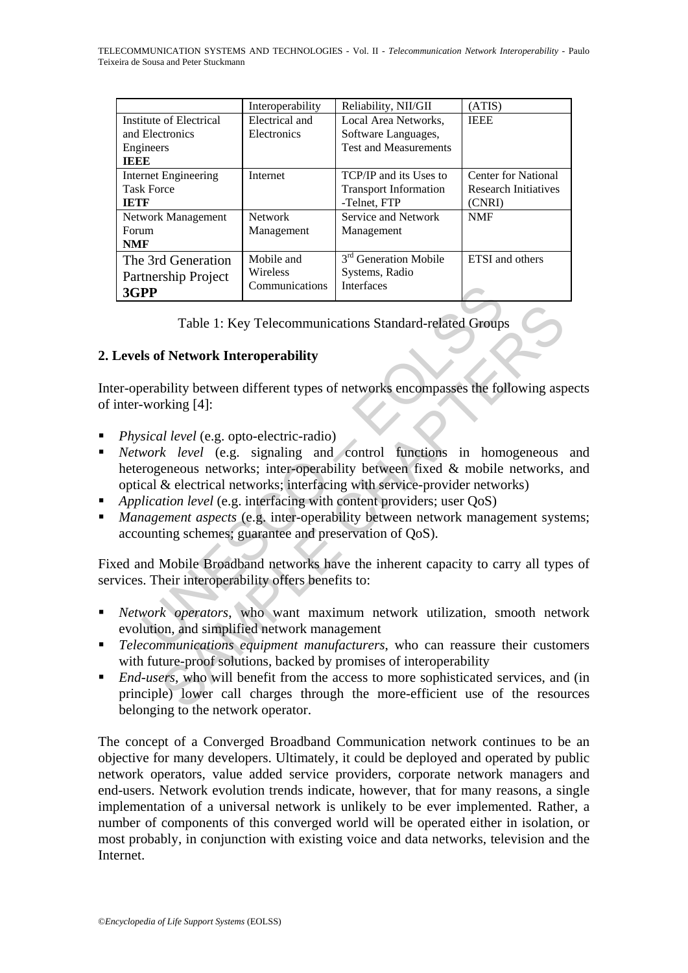|                                                                         | Interoperability                         | Reliability, NII/GII                                                     | ATIS)                                                               |
|-------------------------------------------------------------------------|------------------------------------------|--------------------------------------------------------------------------|---------------------------------------------------------------------|
| Institute of Electrical<br>and Electronics                              | Electrical and<br>Electronics            | Local Area Networks.                                                     | <b>IEEE</b>                                                         |
| Engineers                                                               |                                          | Software Languages,<br><b>Test and Measurements</b>                      |                                                                     |
| TEEE<br><b>Internet Engineering</b><br><b>Task Force</b><br><b>IETF</b> | Internet                                 | TCP/IP and its Uses to<br><b>Transport Information</b><br>-Telnet, FTP   | <b>Center for National</b><br><b>Research Initiatives</b><br>(CNRI) |
| Network Management<br>Forum<br><b>NMF</b>                               | <b>Network</b><br>Management             | Service and Network<br>Management                                        | <b>NMF</b>                                                          |
| The 3rd Generation<br>Partnership Project<br>3GPP                       | Mobile and<br>Wireless<br>Communications | 3 <sup>rd</sup> Generation Mobile<br>Systems, Radio<br><b>Interfaces</b> | <b>ETSI</b> and others                                              |

Table 1: Key Telecommunications Standard-related Groups

### **2. Levels of Network Interoperability**

Inter-operability between different types of networks encompasses the following aspects of inter-working [4]:

- *Physical level* (e.g. opto-electric-radio)
- **PP**<br> **PP**<br>
Table 1: Key Telecommunications Standard-related Group:<br> **Is of Network Interoperability**<br> **Is of Network Interoperability**<br>
stand level (e.g. opto-electric-radio)<br>
stand level (e.g. opto-electric-radio)<br>
stan Table 1: Key Telecommunications Standard-related Groups<br> **SAMPLE CONTEXT EXECUTE:**<br>
Shifty between different types of networks encompasses the following asp<br>  $x$  *l level* (e.g. opto-electric-radio)<br>  $x$  *l level* (e.g. s *Network level* (e.g. signaling and control functions in homogeneous and heterogeneous networks; inter-operability between fixed & mobile networks, and optical & electrical networks; interfacing with service-provider networks)
- *Application level* (e.g. interfacing with content providers; user QoS)
- *Management aspects* (e.g. inter-operability between network management systems; accounting schemes; guarantee and preservation of QoS).

Fixed and Mobile Broadband networks have the inherent capacity to carry all types of services. Their interoperability offers benefits to:

- *Network operators*, who want maximum network utilization, smooth network evolution, and simplified network management
- *Telecommunications equipment manufacturers*, who can reassure their customers with future-proof solutions, backed by promises of interoperability
- *End-users*, who will benefit from the access to more sophisticated services, and (in principle) lower call charges through the more-efficient use of the resources belonging to the network operator.

The concept of a Converged Broadband Communication network continues to be an objective for many developers. Ultimately, it could be deployed and operated by public network operators, value added service providers, corporate network managers and end-users. Network evolution trends indicate, however, that for many reasons, a single implementation of a universal network is unlikely to be ever implemented. Rather, a number of components of this converged world will be operated either in isolation, or most probably, in conjunction with existing voice and data networks, television and the Internet.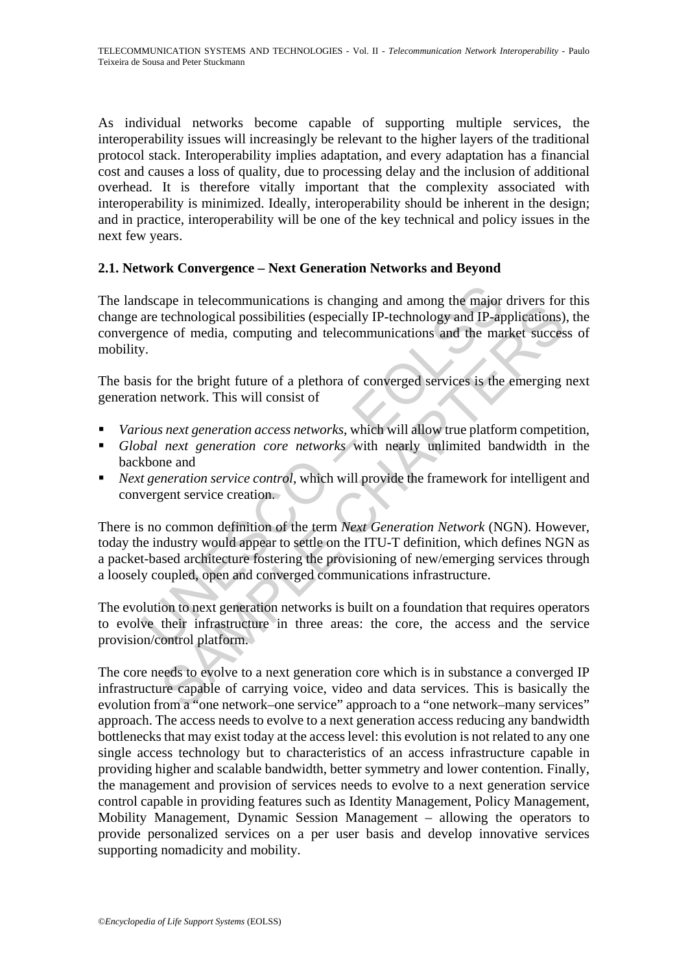As individual networks become capable of supporting multiple services, the interoperability issues will increasingly be relevant to the higher layers of the traditional protocol stack. Interoperability implies adaptation, and every adaptation has a financial cost and causes a loss of quality, due to processing delay and the inclusion of additional overhead. It is therefore vitally important that the complexity associated with interoperability is minimized. Ideally, interoperability should be inherent in the design; and in practice, interoperability will be one of the key technical and policy issues in the next few years.

### **2.1. Network Convergence – Next Generation Networks and Beyond**

dscape in telecommunications is changing and among the major<br>are technological possibilities (especially IP-technology and IP-ap<br>ence of media, computing and telecommunications and the may-<br>ence of media, computing and tel The landscape in telecommunications is changing and among the major drivers for this change are technological possibilities (especially IP-technology and IP-applications), the convergence of media, computing and telecommunications and the market success of mobility.

The basis for the bright future of a plethora of converged services is the emerging next generation network. This will consist of

- *Various next generation access networks*, which will allow true platform competition,
- *Global next generation core networks* with nearly unlimited bandwidth in the backbone and
- *Next generation service control*, which will provide the framework for intelligent and convergent service creation.

the tectominimetations is cumging and among the map<br>technological possibilities (especially IP-technology and IP-applications)<br>is the chapacital computing and telecommunications and the market success<br>for the bright future There is no common definition of the term *Next Generation Network* (NGN). However, today the industry would appear to settle on the ITU-T definition, which defines NGN as a packet-based architecture fostering the provisioning of new/emerging services through a loosely coupled, open and converged communications infrastructure.

The evolution to next generation networks is built on a foundation that requires operators to evolve their infrastructure in three areas: the core, the access and the service provision/control platform.

The core needs to evolve to a next generation core which is in substance a converged IP infrastructure capable of carrying voice, video and data services. This is basically the evolution from a "one network–one service" approach to a "one network–many services" approach. The access needs to evolve to a next generation access reducing any bandwidth bottlenecks that may exist today at the access level: this evolution is not related to any one single access technology but to characteristics of an access infrastructure capable in providing higher and scalable bandwidth, better symmetry and lower contention. Finally, the management and provision of services needs to evolve to a next generation service control capable in providing features such as Identity Management, Policy Management, Mobility Management, Dynamic Session Management – allowing the operators to provide personalized services on a per user basis and develop innovative services supporting nomadicity and mobility.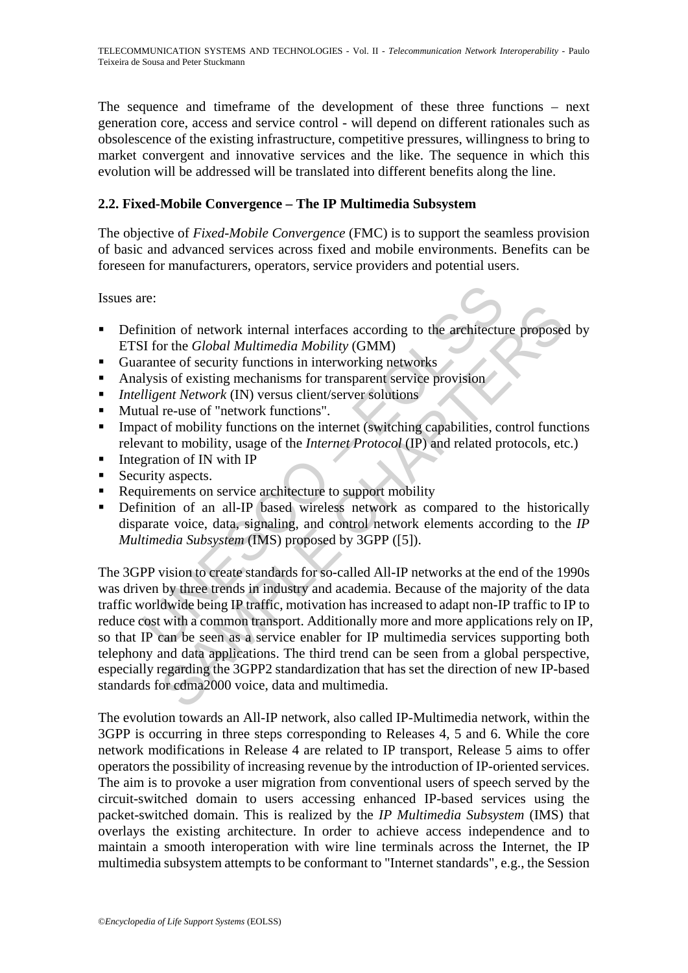The sequence and timeframe of the development of these three functions – next generation core, access and service control - will depend on different rationales such as obsolescence of the existing infrastructure, competitive pressures, willingness to bring to market convergent and innovative services and the like. The sequence in which this evolution will be addressed will be translated into different benefits along the line.

## **2.2. Fixed-Mobile Convergence – The IP Multimedia Subsystem**

The objective of *Fixed-Mobile Convergence* (FMC) is to support the seamless provision of basic and advanced services across fixed and mobile environments. Benefits can be foreseen for manufacturers, operators, service providers and potential users.

Issues are:

- **•** Definition of network internal interfaces according to the architecture proposed by ETSI for the *Global Multimedia Mobility* (GMM)
- Guarantee of security functions in interworking networks
- Analysis of existing mechanisms for transparent service provision
- *Intelligent Network* (IN) versus client/server solutions
- **Mutual re-use of "network functions".**
- Impact of mobility functions on the internet (switching capabilities, control functions relevant to mobility, usage of the *Internet Protocol* (IP) and related protocols, etc.)
- $\blacksquare$  Integration of IN with IP
- Security aspects.
- Requirements on service architecture to support mobility
- **•** Definition of an all-IP based wireless network as compared to the historically disparate voice, data, signaling, and control network elements according to the *IP Multimedia Subsystem* (IMS) proposed by 3GPP ([5]).

re:<br>
inition of network internal interfaces according to the architectu<br>
il for the *Global Multimedia Mobility* (GMM)<br>
ilysis of existing mechanisms for transparent service provision<br>
lligent *Network* (IN) versus client/ ion of network internal interfaces according to the architecture proposed or the *Global Multimedia Mobility* (GMM)<br>tee of security functions in interworking networks<br>is of existing mechanisms for transparent service provi The 3GPP vision to create standards for so-called All-IP networks at the end of the 1990s was driven by three trends in industry and academia. Because of the majority of the data traffic worldwide being IP traffic, motivation has increased to adapt non-IP traffic to IP to reduce cost with a common transport. Additionally more and more applications rely on IP, so that IP can be seen as a service enabler for IP multimedia services supporting both telephony and data applications. The third trend can be seen from a global perspective, especially regarding the 3GPP2 standardization that has set the direction of new IP-based standards for cdma2000 voice, data and multimedia.

The evolution towards an All-IP network, also called IP-Multimedia network, within the 3GPP is occurring in three steps corresponding to Releases 4, 5 and 6. While the core network modifications in Release 4 are related to IP transport, Release 5 aims to offer operators the possibility of increasing revenue by the introduction of IP-oriented services. The aim is to provoke a user migration from conventional users of speech served by the circuit-switched domain to users accessing enhanced IP-based services using the packet-switched domain. This is realized by the *IP Multimedia Subsystem* (IMS) that overlays the existing architecture. In order to achieve access independence and to maintain a smooth interoperation with wire line terminals across the Internet, the IP multimedia subsystem attempts to be conformant to "Internet standards", e.g., the Session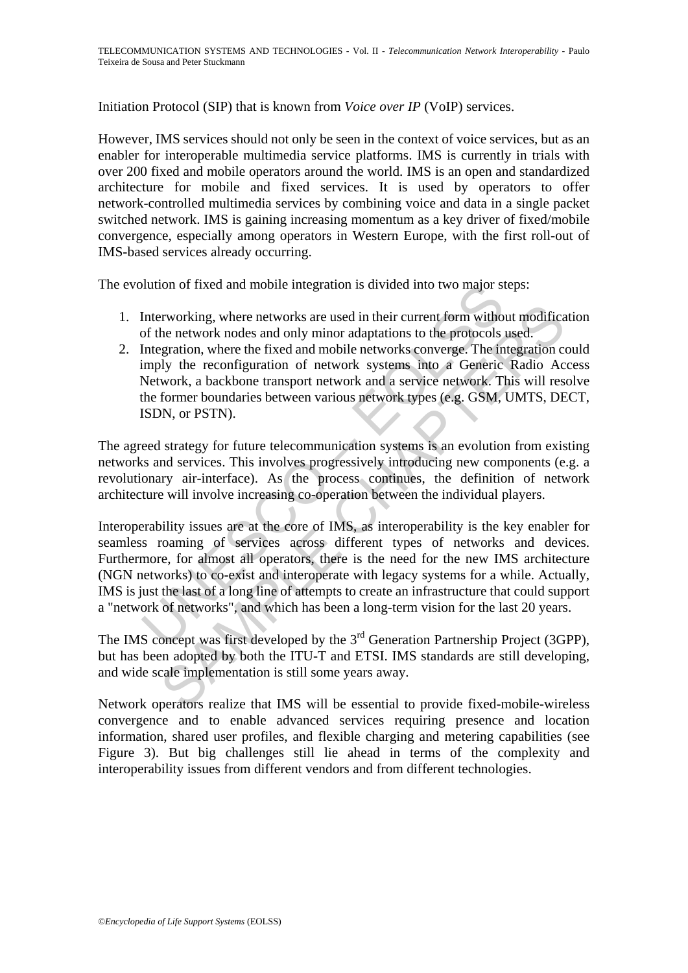Initiation Protocol (SIP) that is known from *Voice over IP* (VoIP) services.

However, IMS services should not only be seen in the context of voice services, but as an enabler for interoperable multimedia service platforms. IMS is currently in trials with over 200 fixed and mobile operators around the world. IMS is an open and standardized architecture for mobile and fixed services. It is used by operators to offer network-controlled multimedia services by combining voice and data in a single packet switched network. IMS is gaining increasing momentum as a key driver of fixed/mobile convergence, especially among operators in Western Europe, with the first roll-out of IMS-based services already occurring.

The evolution of fixed and mobile integration is divided into two major steps:

- 1. Interworking, where networks are used in their current form without modification of the network nodes and only minor adaptations to the protocols used.
- 2. Integration, where the fixed and mobile networks converge. The integration could imply the reconfiguration of network systems into a Generic Radio Access Network, a backbone transport network and a service network. This will resolve the former boundaries between various network types (e.g. GSM, UMTS, DECT, ISDN, or PSTN).

The agreed strategy for future telecommunication systems is an evolution from existing networks and services. This involves progressively introducing new components (e.g. a revolutionary air-interface). As the process continues, the definition of network architecture will involve increasing co-operation between the individual players.

button of fixed and mobile integration is divided into two major st<br>Interworking, where networks are used in their current form witho<br>of the network nodes and only minor adaptations to the protocols<br>Integration, where the ervorking, where networks are used in their current form without modificate he network nodes and only minor adaptations to the protocols used.<br>
Segration, where the fixed and mobile networks converge. The integration coll Interoperability issues are at the core of IMS, as interoperability is the key enabler for seamless roaming of services across different types of networks and devices. Furthermore, for almost all operators, there is the need for the new IMS architecture (NGN networks) to co-exist and interoperate with legacy systems for a while. Actually, IMS is just the last of a long line of attempts to create an infrastructure that could support a "network of networks", and which has been a long-term vision for the last 20 years.

The IMS concept was first developed by the 3<sup>rd</sup> Generation Partnership Project (3GPP), but has been adopted by both the ITU-T and ETSI. IMS standards are still developing, and wide scale implementation is still some years away.

Network operators realize that IMS will be essential to provide fixed-mobile-wireless convergence and to enable advanced services requiring presence and location information, shared user profiles, and flexible charging and metering capabilities (see Figure 3). But big challenges still lie ahead in terms of the complexity and interoperability issues from different vendors and from different technologies.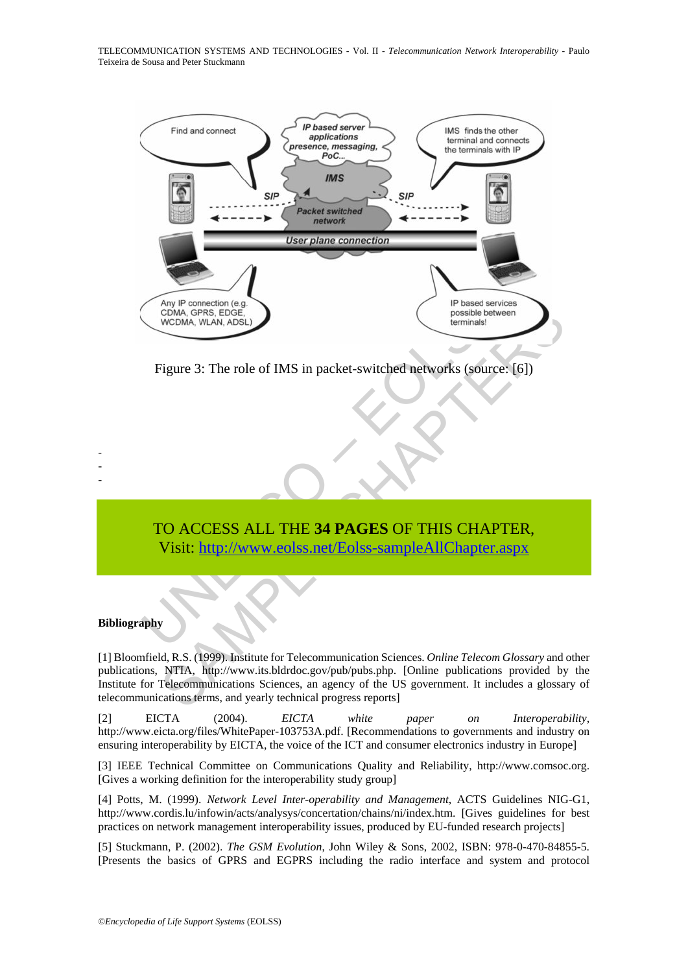TELECOMMUNICATION SYSTEMS AND TECHNOLOGIES - Vol. II - *Telecommunication Network Interoperability* - Paulo Teixeira de Sousa and Peter Stuckmann



Figure 3: The role of IMS in packet-switched networks (source: [6])

# TO ACCESS ALL THE **34 PAGES** OF THIS CHAPTER, Visit: http://www.eolss.net/Eolss-sampleAllChapter.aspx

#### **Bibliography**

- - -

[1] Bloomfield, R.S. (1999). Institute for Telecommunication Sciences. *Online Telecom Glossary* and other publications, NTIA, http://www.its.bldrdoc.gov/pub/pubs.php. [Online publications provided by the Institute for Telecommunications Sciences, an agency of the US government. It includes a glossary of telecommunications terms, and yearly technical progress reports]

[2] EICTA (2004). *EICTA white paper on Interoperability,* http://www.eicta.org/files/WhitePaper-103753A.pdf. [Recommendations to governments and industry on ensuring interoperability by EICTA, the voice of the ICT and consumer electronics industry in Europe]

[3] IEEE Technical Committee on Communications Quality and Reliability, http://www.comsoc.org. [Gives a working definition for the interoperability study group]

[4] Potts, M. (1999). *Network Level Inter-operability and Management*, ACTS Guidelines NIG-G1, http://www.cordis.lu/infowin/acts/analysys/concertation/chains/ni/index.htm. [Gives guidelines for best practices on network management interoperability issues, produced by EU-funded research projects]

[5] Stuckmann, P. (2002). *The GSM Evolution*, John Wiley & Sons, 2002, ISBN: 978-0-470-84855-5. [Presents the basics of GPRS and EGPRS including the radio interface and system and protocol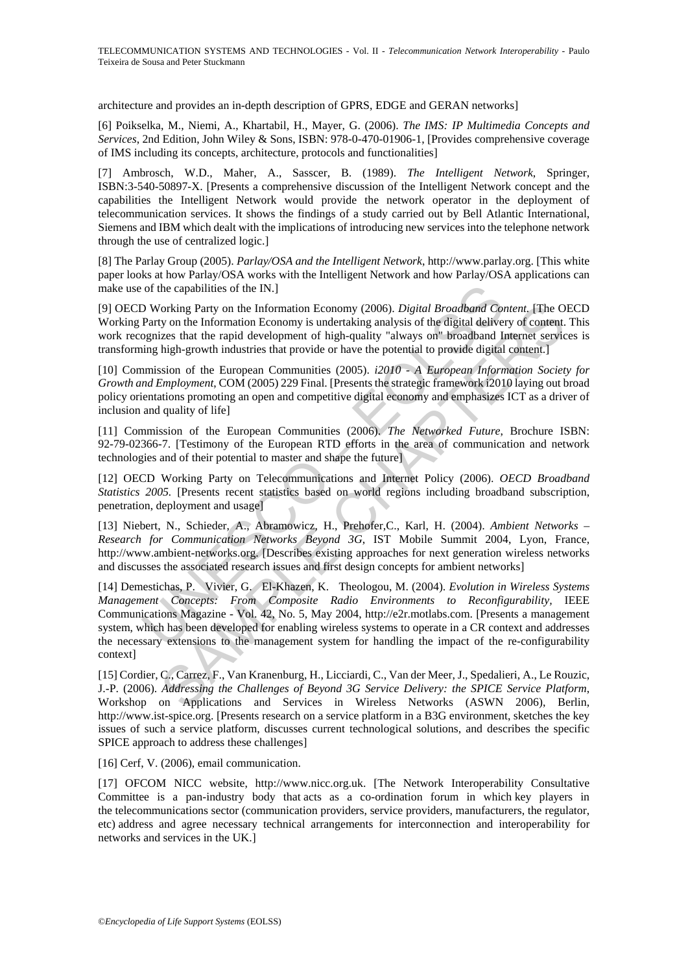architecture and provides an in-depth description of GPRS, EDGE and GERAN networks]

[6] Poikselka, M., Niemi, A., Khartabil, H., Mayer, G. (2006). *The IMS: IP Multimedia Concepts and Services*, 2nd Edition, John Wiley & Sons, ISBN: 978-0-470-01906-1, [Provides comprehensive coverage of IMS including its concepts, architecture, protocols and functionalities]

[7] Ambrosch, W.D., Maher, A., Sasscer, B. (1989). *The Intelligent Network*, Springer, ISBN:3-540-50897-X. [Presents a comprehensive discussion of the Intelligent Network concept and the capabilities the Intelligent Network would provide the network operator in the deployment of telecommunication services. It shows the findings of a study carried out by Bell Atlantic International, Siemens and IBM which dealt with the implications of introducing new services into the telephone network through the use of centralized logic.]

[8] The Parlay Group (2005). *Parlay/OSA and the Intelligent Network*, http://www.parlay.org. [This white paper looks at how Parlay/OSA works with the Intelligent Network and how Parlay/OSA applications can make use of the capabilities of the IN.]

[9] OECD Working Party on the Information Economy (2006). *Digital Broadband Content.* [The OECD Working Party on the Information Economy is undertaking analysis of the digital delivery of content. This work recognizes that the rapid development of high-quality "always on" broadband Internet services is transforming high-growth industries that provide or have the potential to provide digital content.]

[10] Commission of the European Communities (2005). *i2010 - A European Information Society for Growth and Employment*, COM (2005) 229 Final. [Presents the strategic framework i2010 laying out broad policy orientations promoting an open and competitive digital economy and emphasizes ICT as a driver of inclusion and quality of life]

[11] Commission of the European Communities (2006). *The Networked Future*, Brochure ISBN: 92-79-02366-7. [Testimony of the European RTD efforts in the area of communication and network technologies and of their potential to master and shape the future]

[12] OECD Working Party on Telecommunications and Internet Policy (2006). *OECD Broadband Statistics 2005.* [Presents recent statistics based on world regions including broadband subscription, penetration, deployment and usage]

[13] Niebert, N., Schieder, A., Abramowicz, H., Prehofer,C., Karl, H. (2004). *Ambient Networks – Research for Communication Networks Beyond 3G*, IST Mobile Summit 2004, Lyon, France, http://www.ambient-networks.org. [Describes existing approaches for next generation wireless networks and discusses the associated research issues and first design concepts for ambient networks]

of the capabilities of the IN.]<br>
D Working Party on the Information Economy (2006). Digital Broadband Correlation<br>
Party on the Information Economy is undertaking analysis of the digital deliver<br>
Party on the Information forking Party on the Information Economy (2006). *Digital Broadband Content*, [The O. yo the Information Economy is undertaking analysis of the digital delivery of content.<br>
Izes that the rapid development of high-quality [14] Demestichas, P. Vivier, G. El-Khazen, K. Theologou, M. (2004). *Evolution in Wireless Systems Management Concepts: From Composite Radio Environments to Reconfigurability,* IEEE Communications Magazine - Vol. 42, No. 5, May 2004, http://e2r.motlabs.com. [Presents a management system, which has been developed for enabling wireless systems to operate in a CR context and addresses the necessary extensions to the management system for handling the impact of the re-configurability context]

[15] Cordier, C., Carrez, F., Van Kranenburg, H., Licciardi, C., Van der Meer, J., Spedalieri, A., Le Rouzic, J.-P. (2006). *Addressing the Challenges of Beyond 3G Service Delivery: the SPICE Service Platform*, Workshop on Applications and Services in Wireless Networks (ASWN 2006), Berlin, http://www.ist-spice.org. [Presents research on a service platform in a B3G environment, sketches the key issues of such a service platform, discusses current technological solutions, and describes the specific SPICE approach to address these challenges]

[16] Cerf, V. (2006), email communication.

[17] OFCOM NICC website, http://www.nicc.org.uk. [The Network Interoperability Consultative Committee is a pan-industry body that acts as a co-ordination forum in which key players in the telecommunications sector (communication providers, service providers, manufacturers, the regulator, etc) address and agree necessary technical arrangements for interconnection and interoperability for networks and services in the UK.]